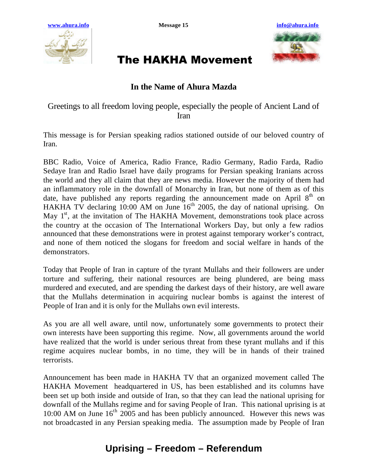



## The HAKHA Movement

## **In the Name of Ahura Mazda**

Greetings to all freedom loving people, especially the people of Ancient Land of Iran

This message is for Persian speaking radios stationed outside of our beloved country of Iran.

BBC Radio, Voice of America, Radio France, Radio Germany, Radio Farda, Radio Sedaye Iran and Radio Israel have daily programs for Persian speaking Iranians across the world and they all claim that they are news media. However the majority of them had an inflammatory role in the downfall of Monarchy in Iran, but none of them as of this date, have published any reports regarding the announcement made on April  $8<sup>th</sup>$  on HAKHA TV declaring  $10:00$  AM on June  $16<sup>th</sup>$  2005, the day of national uprising. On May  $1<sup>st</sup>$ , at the invitation of The HAKHA Movement, demonstrations took place across the country at the occasion of The International Workers Day, but only a few radios announced that these demonstrations were in protest against temporary worker's contract, and none of them noticed the slogans for freedom and social welfare in hands of the demonstrators.

Today that People of Iran in capture of the tyrant Mullahs and their followers are under torture and suffering, their national resources are being plundered, are being mass murdered and executed, and are spending the darkest days of their history, are well aware that the Mullahs determination in acquiring nuclear bombs is against the interest of People of Iran and it is only for the Mullahs own evil interests.

As you are all well aware, until now, unfortunately some governments to protect their own interests have been supporting this regime. Now, all governments around the world have realized that the world is under serious threat from these tyrant mullahs and if this regime acquires nuclear bombs, in no time, they will be in hands of their trained terrorists.

Announcement has been made in HAKHA TV that an organized movement called The HAKHA Movement headquartered in US, has been established and its columns have been set up both inside and outside of Iran, so that they can lead the national uprising for downfall of the Mullahs regime and for saving People of Iran. This national uprising is at 10:00 AM on June  $16<sup>th</sup>$  2005 and has been publicly announced. However this news was not broadcasted in any Persian speaking media. The assumption made by People of Iran

## **Uprising – Freedom – Referendum**